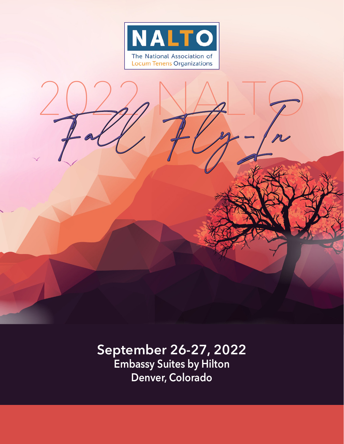



**September 26-27, 2022 Embassy Suites by Hilton Denver, Colorado**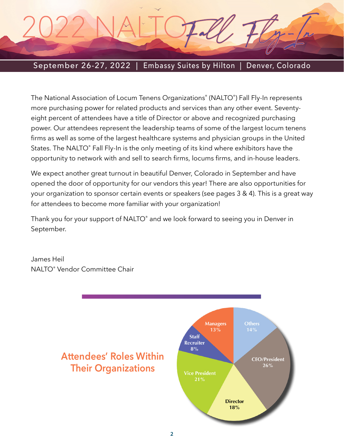### September 26-27, 2022 | Embassy Suites by Hilton | Denver, Colorado

2022 NALTOFall Fly -In

The National Association of Locum Tenens Organizations® (NALTO®) Fall Fly-In represents more purchasing power for related products and services than any other event. Seventyeight percent of attendees have a title of Director or above and recognized purchasing power. Our attendees represent the leadership teams of some of the largest locum tenens firms as well as some of the largest healthcare systems and physician groups in the United States. The NALTO<sup>®</sup> Fall Fly-In is the only meeting of its kind where exhibitors have the opportunity to network with and sell to search firms, locums firms, and in-house leaders.

We expect another great turnout in beautiful Denver, Colorado in September and have opened the door of opportunity for our vendors this year! There are also opportunities for your organization to sponsor certain events or speakers (see pages 3 & 4). This is a great way for attendees to become more familiar with your organization!

Thank you for your support of NALTO® and we look forward to seeing you in Denver in September.

James Heil NALTO® Vendor Committee Chair

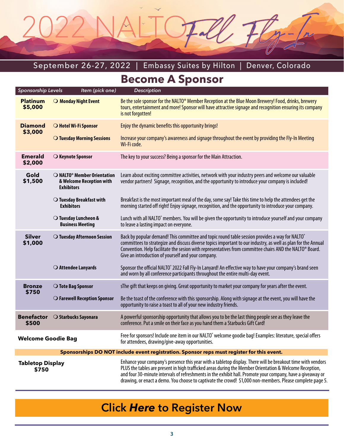### September 26-27, 2022 | Embassy Suites by Hilton | Denver, Colorado

## **Become A Sponsor**

Fal

| Item (pick one)<br><b>Sponsorship Levels</b>                                               |                                                                                          | <b>Description</b>                                                                                                                                                                                                                                                                                                                                                                                                                                |  |  |
|--------------------------------------------------------------------------------------------|------------------------------------------------------------------------------------------|---------------------------------------------------------------------------------------------------------------------------------------------------------------------------------------------------------------------------------------------------------------------------------------------------------------------------------------------------------------------------------------------------------------------------------------------------|--|--|
| <b>Platinum</b><br>\$5,000                                                                 | O Monday Night Event                                                                     | Be the sole sponsor for the NALTO® Member Reception at the Blue Moon Brewery! Food, drinks, brewery<br>tours, entertainment and more! Sponsor will have attractive signage and recognition ensuring its company<br>is not forgotten!                                                                                                                                                                                                              |  |  |
| <b>Diamond</b>                                                                             | O Hotel Wi-Fi Sponsor                                                                    | Enjoy the dynamic benefits this opportunity brings!                                                                                                                                                                                                                                                                                                                                                                                               |  |  |
| \$3,000                                                                                    | O Tuesday Morning Sessions                                                               | Increase your company's awareness and signage throughout the event by providing the Fly-In Meeting<br>Wi-Fi code.                                                                                                                                                                                                                                                                                                                                 |  |  |
| <b>Emerald</b><br>\$2,000                                                                  | ○ Keynote Sponsor                                                                        | The key to your success? Being a sponsor for the Main Attraction.                                                                                                                                                                                                                                                                                                                                                                                 |  |  |
| Gold<br>\$1,500                                                                            | ○ NALTO <sup>®</sup> Member Orientation<br>& Welcome Reception with<br><b>Exhibitors</b> | Learn about exciting committee activities, network with your industry peers and welcome our valuable<br>vendor partners! Signage, recognition, and the opportunity to introduce your company is included!                                                                                                                                                                                                                                         |  |  |
|                                                                                            | $\bigcirc$ Tuesday Breakfast with<br><b>Exhibitors</b>                                   | Breakfast is the most important meal of the day, some say! Take this time to help the attendees get the<br>morning started off right! Enjoy signage, recognition, and the opportunity to introduce your company.                                                                                                                                                                                                                                  |  |  |
|                                                                                            | $\bigcirc$ Tuesday Luncheon &<br><b>Business Meeting</b>                                 | Lunch with all NALTO° members. You will be given the opportunity to introduce yourself and your company<br>to leave a lasting impact on everyone.                                                                                                                                                                                                                                                                                                 |  |  |
| <b>Silver</b><br>\$1,000                                                                   | ○ Tuesday Afternoon Session                                                              | Back by popular demand! This committee and topic round table session provides a way for NALTO®<br>committees to strategize and discuss diverse topics important to our industry, as well as plan for the Annual<br>Convention. Help facilitate the sesion with representatives from committee chairs AND the NALTO® Board.<br>Give an introduction of yourself and your company.                                                                  |  |  |
|                                                                                            | $\bigcirc$ Attendee Lanyards                                                             | Sponsor the official NALTO° 2022 Fall Fly-In Lanyard! An effective way to have your company's brand seen<br>and worn by all conference participants throughout the entire multi-day event.                                                                                                                                                                                                                                                        |  |  |
| <b>Bronze</b><br>\$750                                                                     | ○ Tote Bag Sponsor                                                                       | sThe gift that keeps on giving. Great opportunity to market your company for years after the event.                                                                                                                                                                                                                                                                                                                                               |  |  |
|                                                                                            | $\bigcirc$ Farewell Reception Sponsor                                                    | Be the toast of the conference with this sponsorship. Along with signage at the event, you will have the<br>opportunity to raise a toast to all of your new industry friends.                                                                                                                                                                                                                                                                     |  |  |
| <b>Benefactor</b><br>\$500                                                                 | ○ Starbucks Sayonara                                                                     | A powerful sponsorship opportunity that allows you to be the last thing people see as they leave the<br>conference. Put a smile on their face as you hand them a Starbucks Gift Card!                                                                                                                                                                                                                                                             |  |  |
| <b>Welcome Goodie Bag</b>                                                                  |                                                                                          | Free for sponsors! Include one item in our NALTO <sup>®</sup> welcome goodie bag! Examples: literature, special offers<br>for attendees, drawing/give-away opportunities.                                                                                                                                                                                                                                                                         |  |  |
| Sponsorships DO NOT include event registration. Sponsor reps must register for this event. |                                                                                          |                                                                                                                                                                                                                                                                                                                                                                                                                                                   |  |  |
| <b>Tabletop Display</b><br>\$750                                                           |                                                                                          | Enhance your company's presence this year with a tabletop display. There will be breakout time with vendors<br>PLUS the tables are present in high trafficked areas during the Member Orientation & Welcome Reception,<br>and four 30-minute intervals of refreshments in the exhibit hall. Promote your company, have a giveaway or<br>drawing, or enact a demo. You choose to captivate the crowd! \$1,000 non-members. Please complete page 5. |  |  |

# **Click** *Here* **[to Register Now](https://nalto.memberclicks.net/2022exhibitor#/)**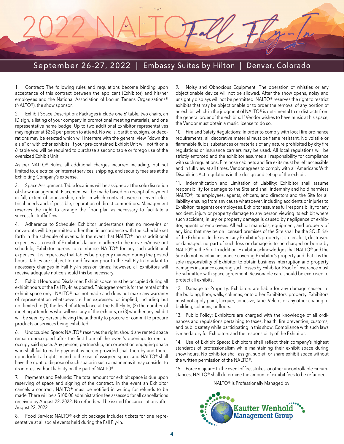

September 26-27, 2022 | Embassy Suites by Hilton | Denver, Colorado

Contract: The following rules and regulations become binding upon acceptance of this contract between the applicant (Exhibitor) and his/her employees and the National Association of Locum Tenens Organizations® (NALTO®), the show sponsor.

2. Exhibit Space Description: Packages include one 6' table, two chairs, an ID sign, a listing of your company in promotional meeting materials, and one representative name badge. Up to two additional Exhibitor representatives may register at \$250 per person to attend. No walls, partitions, signs, or decorations may be erected which will interfere with the general view "down the aisle" or with other exhibits. If your pre-contained Exhibit Unit will not fit on a 6' table you will be required to purchase a second table or forego use of the oversized Exhibit Unit.

As per NALTO® Rules, all additional charges incurred including, but not limited to, electrical or Internet services, shipping, and security fees are at the Exhibiting Company's expense.

3. Space Assignment: Table locations will be assigned at the sole discretion of show management. Placement will be made based on receipt of payment in full, extent of sponsorship, order in which contracts were received, electrical needs and, if possible, separation of direct competitors. Management reserves the right to arrange the floor plan as necessary to facilitate a successful traffic flow.

4. Adherence to Schedule: Exhibitor understands that no move-ins or move-outs will be permitted other than in accordance with the schedule set forth in the schedule of events. In the event that NALTO® incurs additional expenses as a result of Exhibitor's failure to adhere to the move-in/move-out schedule, Exhibitor agrees to reimburse NALTO® for any such additional expenses. It is imperative that tables be properly manned during the posted hours. Tables are subject to modification prior to the Fall Fly-In to adapt to necessary changes in Fall Fly-In session times; however, all Exhibitors will receive adequate notice should this be necessary.

5. Exhibit Hours and Disclaimer: Exhibit space must be occupied during all exhibit hours of the Fall Fly-In as posted. This agreement is for the rental of the exhibit space only. NALTO® has not made and does not make any warranty of representation whatsoever, either expressed or implied, including but not limited to (1) the level of attendance at the Fall Fly-In, (2) the number of meeting attendees who will visit any of the exhibits, or (3) whether any exhibit will be seen by persons having the authority to procure or commit to procure products or services being exhibited.

6. Unoccupied Space: NALTO® reserves the right, should any rented space remain unoccupied after the first hour of the event's opening, to rent or occupy said space. Any person, partnership, or corporation engaging space who shall fail to make payment as herein provided shall thereby and thereupon forfeit all rights in and to the use of assigned space, and NALTO® shall have the right to dispose of such space in such a manner as it may consider to its interest without liability on the part of NALTO®.

7. Payments and Refunds: The total amount for exhibit space is due upon reserving of space and signing of the contract. In the event an Exhibitor cancels a contract, NALTO® must be notified in writing for refunds to be made. There will be a \$100.00 administration fee assessed for all cancellations received by August 22, 2022. No refunds will be issued for cancellations after August 22, 2022.

8. Food Service: NALTO® exhibit package includes tickets for one representative at all social events held during the Fall Fly-In.

9. Noisy and Obnoxious Equipment: The operation of whistles or any objectionable device will not be allowed. After the show opens, noisy and unsightly displays will not be permitted. NALTO® reserves the right to restrict exhibits that may be objectionable or to order the removal of any portion of an exhibit which in the judgment of NALTO® is detrimental to or distracts from the general order of the exhibits. If Vendor wishes to have music at his space, the Vendor must obtain a music license to do so.

10. Fire and Safety Regulations: In order to comply with local fire ordinance requirements, all decorative material must be flame resistant. No volatile or flammable fluids, substances or materials of any nature prohibited by city fire regulations or insurance carriers may be used. All local regulations will be strictly enforced and the exhibitor assumes all responsibility for compliance with such regulations. Fire hose cabinets and fire exits must be left accessible and in full view at all times. Vendor agrees to comply with all Americans With Disabilities Act regulations in the design and set up of the exhibit.

11. Indemnification and Limitation of Liability: Exhibitor shall assume responsibility for damage to the Site and shall indemnify and hold harmless NALTO®, its employees, agents, officers, and directors and the Site for all liability ensuing from any cause whatsoever, including accidents or injuries to Exhibitor, its agents or employees. Exhibitor assumes full responsibility for any accident, injury or property damage to any person viewing its exhibit where such accident, injury or property damage is caused by negligence of exhibitor, agents or employees. All exhibit materials, equipment, and property of any kind that may be on licensed premises of the Site shall be the SOLE risk of the Exhibitor. In the event any Exhibitor's property is stolen, lost, destroyed or damaged, no part of such loss or damage is to be charged or borne by NALTO® or the Site. In addition, Exhibitor acknowledges that NALTO® and the Site do not maintain insurance covering Exhibitor's property and that it is the sole responsibility of Exhibitor to obtain business interruption and property damages insurance covering such losses by Exhibitor. Proof of insurance must be submitted with space agreement. Reasonable care should be exercised to protect all exhibits.

12. Damage to Property: Exhibitors are liable for any damage caused to the building, floor, walls, columns, or to other Exhibitors' property. Exhibitors must not apply paint, lacquer, adhesive, tape, Velcro, or any other coating to building, columns, or floors.

13. Public Policy: Exhibitors are charged with the knowledge of all ordinances and regulations pertaining to taxes, health, fire prevention, customs, and public safety while participating in this show. Compliance with such laws is mandatory for Exhibitors and the responsibility of the Exhibitor.

14. Use of Exhibit Space: Exhibitors shall reflect their company's highest standards of professionalism while maintaining their exhibit space during show hours. No Exhibitor shall assign, sublet, or share exhibit space without the written permission of the NALTO®.

15. Force majeure: In the event of fire, strikes, or other uncontrollable circumstances, NALTO® shall determine the amount of exhibit fees to be refunded.

NALTO® is Professionally Managed by: